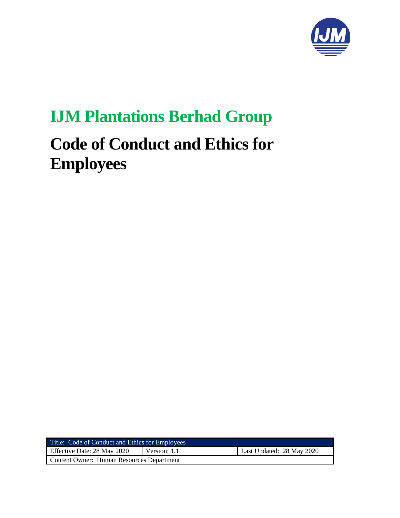

# **IJM Plantations Berhad Group**

# **Code of Conduct and Ethics for Employees**

| Title: Code of Conduct and Ethics for Employees |              |                           |
|-------------------------------------------------|--------------|---------------------------|
| Effective Date: 28 May 2020                     | Version: 1.1 | Last Updated: 28 May 2020 |
| Content Owner: Human Resources Department       |              |                           |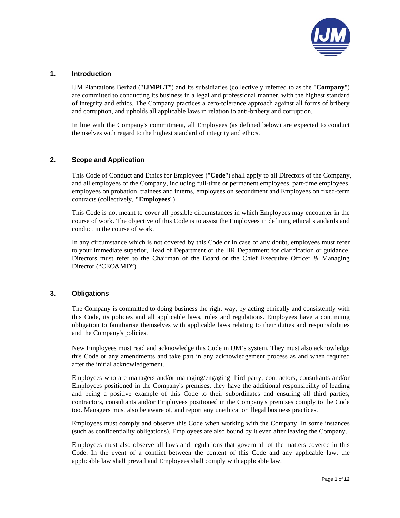

# **1. Introduction**

IJM Plantations Berhad ("**IJMPLT**") and its subsidiaries (collectively referred to as the "**Company**") are committed to conducting its business in a legal and professional manner, with the highest standard of integrity and ethics. The Company practices a zero-tolerance approach against all forms of bribery and corruption, and upholds all applicable laws in relation to anti-bribery and corruption.

In line with the Company's commitment, all Employees (as defined below) are expected to conduct themselves with regard to the highest standard of integrity and ethics.

# **2. Scope and Application**

This Code of Conduct and Ethics for Employees ("**Code**") shall apply to all Directors of the Company, and all employees of the Company, including full-time or permanent employees, part-time employees, employees on probation, trainees and interns, employees on secondment and Employees on fixed-term contracts (collectively, **"Employees**").

This Code is not meant to cover all possible circumstances in which Employees may encounter in the course of work. The objective of this Code is to assist the Employees in defining ethical standards and conduct in the course of work.

In any circumstance which is not covered by this Code or in case of any doubt, employees must refer to your immediate superior, Head of Department or the HR Department for clarification or guidance. Directors must refer to the Chairman of the Board or the Chief Executive Officer & Managing Director ("CEO&MD").

## **3. Obligations**

The Company is committed to doing business the right way, by acting ethically and consistently with this Code, its policies and all applicable laws, rules and regulations. Employees have a continuing obligation to familiarise themselves with applicable laws relating to their duties and responsibilities and the Company's policies.

New Employees must read and acknowledge this Code in IJM's system. They must also acknowledge this Code or any amendments and take part in any acknowledgement process as and when required after the initial acknowledgement.

Employees who are managers and/or managing/engaging third party, contractors, consultants and/or Employees positioned in the Company's premises, they have the additional responsibility of leading and being a positive example of this Code to their subordinates and ensuring all third parties, contractors, consultants and/or Employees positioned in the Company's premises comply to the Code too. Managers must also be aware of, and report any unethical or illegal business practices.

Employees must comply and observe this Code when working with the Company. In some instances (such as confidentiality obligations), Employees are also bound by it even after leaving the Company.

Employees must also observe all laws and regulations that govern all of the matters covered in this Code. In the event of a conflict between the content of this Code and any applicable law, the applicable law shall prevail and Employees shall comply with applicable law.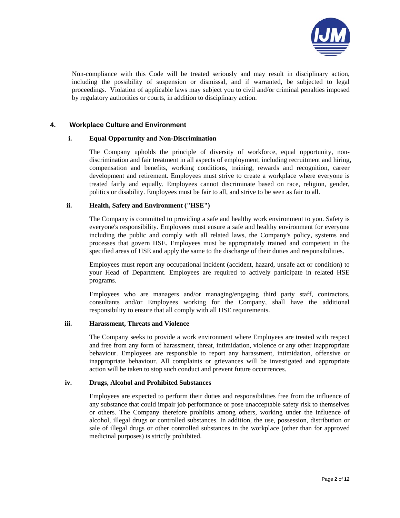

Non-compliance with this Code will be treated seriously and may result in disciplinary action, including the possibility of suspension or dismissal, and if warranted, be subjected to legal proceedings. Violation of applicable laws may subject you to civil and/or criminal penalties imposed by regulatory authorities or courts, in addition to disciplinary action.

# **4. Workplace Culture and Environment**

## **i. Equal Opportunity and Non-Discrimination**

The Company upholds the principle of diversity of workforce, equal opportunity, nondiscrimination and fair treatment in all aspects of employment, including recruitment and hiring, compensation and benefits, working conditions, training, rewards and recognition, career development and retirement. Employees must strive to create a workplace where everyone is treated fairly and equally. Employees cannot discriminate based on race, religion, gender, politics or disability. Employees must be fair to all, and strive to be seen as fair to all.

# **ii. Health, Safety and Environment ("HSE")**

The Company is committed to providing a safe and healthy work environment to you. Safety is everyone's responsibility. Employees must ensure a safe and healthy environment for everyone including the public and comply with all related laws, the Company's policy, systems and processes that govern HSE. Employees must be appropriately trained and competent in the specified areas of HSE and apply the same to the discharge of their duties and responsibilities.

Employees must report any occupational incident (accident, hazard, unsafe act or condition) to your Head of Department. Employees are required to actively participate in related HSE programs.

Employees who are managers and/or managing/engaging third party staff, contractors, consultants and/or Employees working for the Company, shall have the additional responsibility to ensure that all comply with all HSE requirements.

## **iii. Harassment, Threats and Violence**

The Company seeks to provide a work environment where Employees are treated with respect and free from any form of harassment, threat, intimidation, violence or any other inappropriate behaviour. Employees are responsible to report any harassment, intimidation, offensive or inappropriate behaviour. All complaints or grievances will be investigated and appropriate action will be taken to stop such conduct and prevent future occurrences.

## **iv. Drugs, Alcohol and Prohibited Substances**

Employees are expected to perform their duties and responsibilities free from the influence of any substance that could impair job performance or pose unacceptable safety risk to themselves or others. The Company therefore prohibits among others, working under the influence of alcohol, illegal drugs or controlled substances. In addition, the use, possession, distribution or sale of illegal drugs or other controlled substances in the workplace (other than for approved medicinal purposes) is strictly prohibited.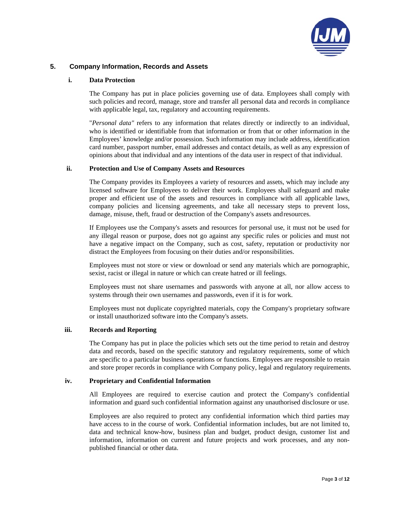

# **5. Company Information, Records and Assets**

#### **i. Data Protection**

The Company has put in place policies governing use of data. Employees shall comply with such policies and record, manage, store and transfer all personal data and records in compliance with applicable legal, tax, regulatory and accounting requirements.

"*Personal data"* refers to any information that relates directly or indirectly to an individual, who is identified or identifiable from that information or from that or other information in the Employees' knowledge and/or possession. Such information may include address, identification card number, passport number, email addresses and contact details, as well as any expression of opinions about that individual and any intentions of the data user in respect of that individual.

#### **ii. Protection and Use of Company Assets and Resources**

The Company provides its Employees a variety of resources and assets, which may include any licensed software for Employees to deliver their work. Employees shall safeguard and make proper and efficient use of the assets and resources in compliance with all applicable laws, company policies and licensing agreements, and take all necessary steps to prevent loss, damage, misuse, theft, fraud or destruction of the Company's assets and resources.

If Employees use the Company's assets and resources for personal use, it must not be used for any illegal reason or purpose, does not go against any specific rules or policies and must not have a negative impact on the Company, such as cost, safety, reputation or productivity nor distract the Employees from focusing on their duties and/or responsibilities.

Employees must not store or view or download or send any materials which are pornographic, sexist, racist or illegal in nature or which can create hatred or ill feelings.

Employees must not share usernames and passwords with anyone at all, nor allow access to systems through their own usernames and passwords, even if it is for work.

Employees must not duplicate copyrighted materials, copy the Company's proprietary software or install unauthorized software into the Company's assets.

#### **iii. Records and Reporting**

The Company has put in place the policies which sets out the time period to retain and destroy data and records, based on the specific statutory and regulatory requirements, some of which are specific to a particular business operations or functions. Employees are responsible to retain and store proper records in compliance with Company policy, legal and regulatory requirements.

#### **iv. Proprietary and Confidential Information**

All Employees are required to exercise caution and protect the Company's confidential information and guard such confidential information against any unauthorised disclosure or use.

Employees are also required to protect any confidential information which third parties may have access to in the course of work. Confidential information includes, but are not limited to, data and technical know-how, business plan and budget, product design, customer list and information, information on current and future projects and work processes, and any nonpublished financial or other data.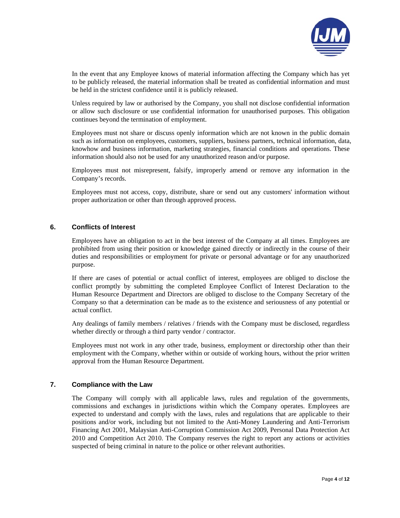

In the event that any Employee knows of material information affecting the Company which has yet to be publicly released, the material information shall be treated as confidential information and must be held in the strictest confidence until it is publicly released.

Unless required by law or authorised by the Company, you shall not disclose confidential information or allow such disclosure or use confidential information for unauthorised purposes. This obligation continues beyond the termination of employment.

Employees must not share or discuss openly information which are not known in the public domain such as information on employees, customers, suppliers, business partners, technical information, data, knowhow and business information, marketing strategies, financial conditions and operations. These information should also not be used for any unauthorized reason and/or purpose.

Employees must not misrepresent, falsify, improperly amend or remove any information in the Company's records.

Employees must not access, copy, distribute, share or send out any customers' information without proper authorization or other than through approved process.

## **6. Conflicts of Interest**

Employees have an obligation to act in the best interest of the Company at all times. Employees are prohibited from using their position or knowledge gained directly or indirectly in the course of their duties and responsibilities or employment for private or personal advantage or for any unauthorized purpose.

If there are cases of potential or actual conflict of interest, employees are obliged to disclose the conflict promptly by submitting the completed Employee Conflict of Interest Declaration to the Human Resource Department and Directors are obliged to disclose to the Company Secretary of the Company so that a determination can be made as to the existence and seriousness of any potential or actual conflict.

Any dealings of family members / relatives / friends with the Company must be disclosed, regardless whether directly or through a third party vendor / contractor.

Employees must not work in any other trade, business, employment or directorship other than their employment with the Company, whether within or outside of working hours, without the prior written approval from the Human Resource Department.

#### **7. Compliance with the Law**

The Company will comply with all applicable laws, rules and regulation of the governments, commissions and exchanges in jurisdictions within which the Company operates. Employees are expected to understand and comply with the laws, rules and regulations that are applicable to their positions and/or work, including but not limited to the Anti-Money Laundering and Anti-Terrorism Financing Act 2001, Malaysian Anti-Corruption Commission Act 2009, Personal Data Protection Act 2010 and Competition Act 2010. The Company reserves the right to report any actions or activities suspected of being criminal in nature to the police or other relevant authorities.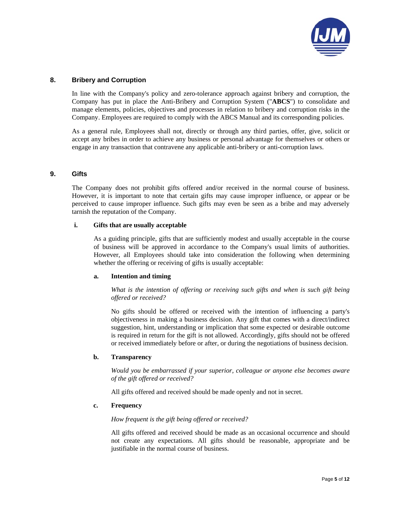

# **8. Bribery and Corruption**

In line with the Company's policy and zero-tolerance approach against bribery and corruption, the Company has put in place the Anti-Bribery and Corruption System ("**ABCS**") to consolidate and manage elements, policies, objectives and processes in relation to bribery and corruption risks in the Company. Employees are required to comply with the ABCS Manual and its corresponding policies.

As a general rule, Employees shall not, directly or through any third parties, offer, give, solicit or accept any bribes in order to achieve any business or personal advantage for themselves or others or engage in any transaction that contravene any applicable anti-bribery or anti-corruption laws.

# **9. Gifts**

The Company does not prohibit gifts offered and/or received in the normal course of business. However, it is important to note that certain gifts may cause improper influence, or appear or be perceived to cause improper influence. Such gifts may even be seen as a bribe and may adversely tarnish the reputation of the Company.

#### **i. Gifts that are usually acceptable**

As a guiding principle, gifts that are sufficiently modest and usually acceptable in the course of business will be approved in accordance to the Company's usual limits of authorities. However, all Employees should take into consideration the following when determining whether the offering or receiving of gifts is usually acceptable:

#### **a. Intention and timing**

*What is the intention of offering or receiving such gifts and when is such gift being offered or received?* 

No gifts should be offered or received with the intention of influencing a party's objectiveness in making a business decision. Any gift that comes with a direct/indirect suggestion, hint, understanding or implication that some expected or desirable outcome is required in return for the gift is not allowed. Accordingly, gifts should not be offered or received immediately before or after, or during the negotiations of business decision.

## **b. Transparency**

*Would you be embarrassed if your superior, colleague or anyone else becomes aware of the gift offered or received?* 

All gifts offered and received should be made openly and not in secret.

#### **c. Frequency**

#### *How frequent is the gift being offered or received?*

All gifts offered and received should be made as an occasional occurrence and should not create any expectations. All gifts should be reasonable, appropriate and be justifiable in the normal course of business.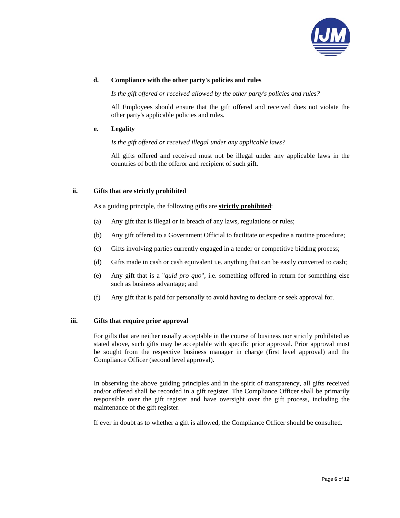

## **d. Compliance with the other party's policies and rules**

*Is the gift offered or received allowed by the other party's policies and rules?* 

All Employees should ensure that the gift offered and received does not violate the other party's applicable policies and rules.

## **e. Legality**

*Is the gift offered or received illegal under any applicable laws?* 

All gifts offered and received must not be illegal under any applicable laws in the countries of both the offeror and recipient of such gift.

# **ii. Gifts that are strictly prohibited**

As a guiding principle, the following gifts are **strictly prohibited**:

- (a) Any gift that is illegal or in breach of any laws, regulations or rules;
- (b) Any gift offered to a Government Official to facilitate or expedite a routine procedure;
- (c) Gifts involving parties currently engaged in a tender or competitive bidding process;
- (d) Gifts made in cash or cash equivalent i.e. anything that can be easily converted to cash;
- (e) Any gift that is a "*quid pro quo*", i.e. something offered in return for something else such as business advantage; and
- (f) Any gift that is paid for personally to avoid having to declare or seek approval for.

# **iii. Gifts that require prior approval**

For gifts that are neither usually acceptable in the course of business nor strictly prohibited as stated above, such gifts may be acceptable with specific prior approval. Prior approval must be sought from the respective business manager in charge (first level approval) and the Compliance Officer (second level approval).

In observing the above guiding principles and in the spirit of transparency, all gifts received and/or offered shall be recorded in a gift register. The Compliance Officer shall be primarily responsible over the gift register and have oversight over the gift process, including the maintenance of the gift register.

If ever in doubt as to whether a gift is allowed, the Compliance Officer should be consulted.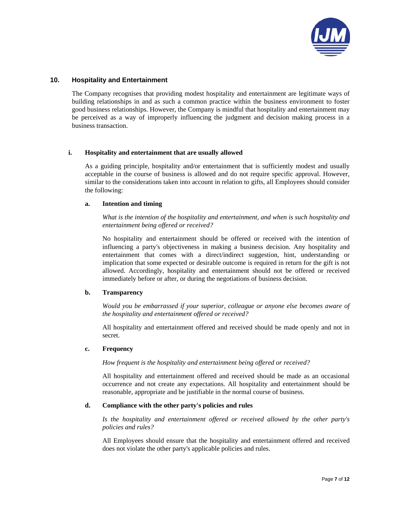

## **10. Hospitality and Entertainment**

The Company recognises that providing modest hospitality and entertainment are legitimate ways of building relationships in and as such a common practice within the business environment to foster good business relationships. However, the Company is mindful that hospitality and entertainment may be perceived as a way of improperly influencing the judgment and decision making process in a business transaction.

## **i. Hospitality and entertainment that are usually allowed**

As a guiding principle, hospitality and/or entertainment that is sufficiently modest and usually acceptable in the course of business is allowed and do not require specific approval. However, similar to the considerations taken into account in relation to gifts, all Employees should consider the following:

## **a. Intention and timing**

*What is the intention of the hospitality and entertainment, and when is such hospitality and entertainment being offered or received?* 

No hospitality and entertainment should be offered or received with the intention of influencing a party's objectiveness in making a business decision. Any hospitality and entertainment that comes with a direct/indirect suggestion, hint, understanding or implication that some expected or desirable outcome is required in return for the gift is not allowed. Accordingly, hospitality and entertainment should not be offered or received immediately before or after, or during the negotiations of business decision.

## **b. Transparency**

*Would you be embarrassed if your superior, colleague or anyone else becomes aware of the hospitality and entertainment offered or received?* 

All hospitality and entertainment offered and received should be made openly and not in secret.

## **c. Frequency**

*How frequent is the hospitality and entertainment being offered or received?* 

All hospitality and entertainment offered and received should be made as an occasional occurrence and not create any expectations. All hospitality and entertainment should be reasonable, appropriate and be justifiable in the normal course of business.

## **d. Compliance with the other party's policies and rules**

*Is the hospitality and entertainment offered or received allowed by the other party's policies and rules?* 

All Employees should ensure that the hospitality and entertainment offered and received does not violate the other party's applicable policies and rules.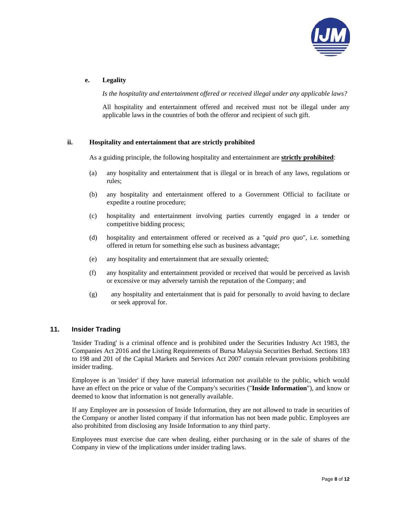

# **e. Legality**

*Is the hospitality and entertainment offered or received illegal under any applicable laws?* 

All hospitality and entertainment offered and received must not be illegal under any applicable laws in the countries of both the offeror and recipient of such gift.

# **ii. Hospitality and entertainment that are strictly prohibited**

As a guiding principle, the following hospitality and entertainment are **strictly prohibited**:

- (a) any hospitality and entertainment that is illegal or in breach of any laws, regulations or rules;
- (b) any hospitality and entertainment offered to a Government Official to facilitate or expedite a routine procedure;
- (c) hospitality and entertainment involving parties currently engaged in a tender or competitive bidding process;
- (d) hospitality and entertainment offered or received as a "*quid pro quo*", i.e. something offered in return for something else such as business advantage;
- (e) any hospitality and entertainment that are sexually oriented;
- (f) any hospitality and entertainment provided or received that would be perceived as lavish or excessive or may adversely tarnish the reputation of the Company; and
- (g) any hospitality and entertainment that is paid for personally to avoid having to declare or seek approval for.

## **11. Insider Trading**

'Insider Trading' is a criminal offence and is prohibited under the Securities Industry Act 1983, the Companies Act 2016 and the Listing Requirements of Bursa Malaysia Securities Berhad. Sections 183 to 198 and 201 of the Capital Markets and Services Act 2007 contain relevant provisions prohibiting insider trading.

Employee is an 'insider' if they have material information not available to the public, which would have an effect on the price or value of the Company's securities ("**Inside Information**"), and know or deemed to know that information is not generally available.

If any Employee are in possession of Inside Information, they are not allowed to trade in securities of the Company or another listed company if that information has not been made public. Employees are also prohibited from disclosing any Inside Information to any third party.

Employees must exercise due care when dealing, either purchasing or in the sale of shares of the Company in view of the implications under insider trading laws.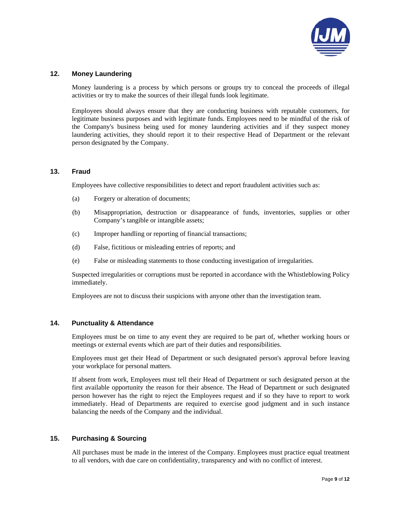

# **12. Money Laundering**

Money laundering is a process by which persons or groups try to conceal the proceeds of illegal activities or try to make the sources of their illegal funds look legitimate.

Employees should always ensure that they are conducting business with reputable customers, for legitimate business purposes and with legitimate funds. Employees need to be mindful of the risk of the Company's business being used for money laundering activities and if they suspect money laundering activities, they should report it to their respective Head of Department or the relevant person designated by the Company.

## **13. Fraud**

Employees have collective responsibilities to detect and report fraudulent activities such as:

- (a) Forgery or alteration of documents;
- (b) Misappropriation, destruction or disappearance of funds, inventories, supplies or other Company's tangible or intangible assets;
- (c) Improper handling or reporting of financial transactions;
- (d) False, fictitious or misleading entries of reports; and
- (e) False or misleading statements to those conducting investigation of irregularities.

Suspected irregularities or corruptions must be reported in accordance with the Whistleblowing Policy immediately.

Employees are not to discuss their suspicions with anyone other than the investigation team.

## **14. Punctuality & Attendance**

Employees must be on time to any event they are required to be part of, whether working hours or meetings or external events which are part of their duties and responsibilities.

Employees must get their Head of Department or such designated person's approval before leaving your workplace for personal matters.

If absent from work, Employees must tell their Head of Department or such designated person at the first available opportunity the reason for their absence. The Head of Department or such designated person however has the right to reject the Employees request and if so they have to report to work immediately. Head of Departments are required to exercise good judgment and in such instance balancing the needs of the Company and the individual.

# **15. Purchasing & Sourcing**

All purchases must be made in the interest of the Company. Employees must practice equal treatment to all vendors, with due care on confidentiality, transparency and with no conflict of interest.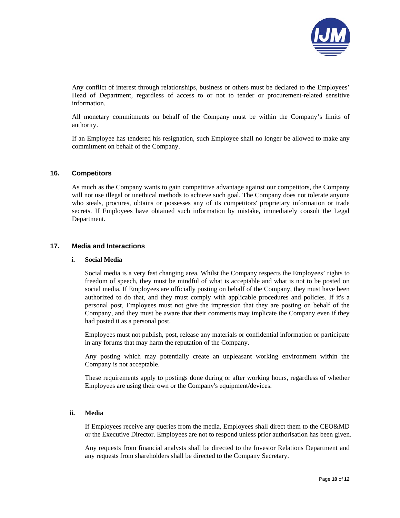

Any conflict of interest through relationships, business or others must be declared to the Employees' Head of Department, regardless of access to or not to tender or procurement-related sensitive information.

All monetary commitments on behalf of the Company must be within the Company's limits of authority.

If an Employee has tendered his resignation, such Employee shall no longer be allowed to make any commitment on behalf of the Company.

#### **16. Competitors**

As much as the Company wants to gain competitive advantage against our competitors, the Company will not use illegal or unethical methods to achieve such goal. The Company does not tolerate anyone who steals, procures, obtains or possesses any of its competitors' proprietary information or trade secrets. If Employees have obtained such information by mistake, immediately consult the Legal Department.

## **17. Media and Interactions**

#### **i. Social Media**

Social media is a very fast changing area. Whilst the Company respects the Employees' rights to freedom of speech, they must be mindful of what is acceptable and what is not to be posted on social media. If Employees are officially posting on behalf of the Company, they must have been authorized to do that, and they must comply with applicable procedures and policies. If it's a personal post, Employees must not give the impression that they are posting on behalf of the Company, and they must be aware that their comments may implicate the Company even if they had posted it as a personal post.

Employees must not publish, post, release any materials or confidential information or participate in any forums that may harm the reputation of the Company.

Any posting which may potentially create an unpleasant working environment within the Company is not acceptable.

These requirements apply to postings done during or after working hours, regardless of whether Employees are using their own or the Company's equipment/devices.

#### **ii. Media**

If Employees receive any queries from the media, Employees shall direct them to the CEO&MD or the Executive Director. Employees are not to respond unless prior authorisation has been given.

Any requests from financial analysts shall be directed to the Investor Relations Department and any requests from shareholders shall be directed to the Company Secretary.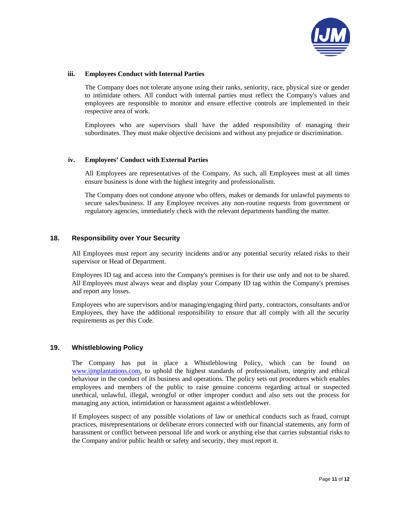

#### **iii. Employees Conduct with Internal Parties**

The Company does not tolerate anyone using their ranks, seniority, race, physical size or gender to intimidate others. All conduct with internal parties must reflect the Company's values and employees are responsible to monitor and ensure effective controls are implemented in their respective area of work.

Employees who are supervisors shall have the added responsibility of managing their subordinates. They must make objective decisions and without any prejudice or discrimination.

#### **iv. Employees' Conduct with External Parties**

All Employees are representatives of the Company. As such, all Employees must at all times ensure business is done with the highest integrity and professionalism.

The Company does not condone anyone who offers, makes or demands for unlawful payments to secure sales/business. If any Employee receives any non-routine requests from government or regulatory agencies, immediately check with the relevant departments handling the matter.

# **18. Responsibility over Your Security**

All Employees must report any security incidents and/or any potential security related risks to their supervisor or Head of Department.

Employees ID tag and access into the Company's premises is for their use only and not to be shared. All Employees must always wear and display your Company ID tag within the Company's premises and report any losses.

Employees who are supervisors and/or managing/engaging third party, contractors, consultants and/or Employees, they have the additional responsibility to ensure that all comply with all the security requirements as per this Code.

## **19. Whistleblowing Policy**

The Company has put in place a Whistleblowing Policy, which can be found on www.ijmplantations.com, to uphold the highest standards of professionalism, integrity and ethical behaviour in the conduct of its business and operations. The policy sets out procedures which enables employees and members of the public to raise genuine concerns regarding actual or suspected unethical, unlawful, illegal, wrongful or other improper conduct and also sets out the process for managing any action, intimidation or harassment against a whistleblower.

If Employees suspect of any possible violations of law or unethical conducts such as fraud, corrupt practices, misrepresentations or deliberate errors connected with our financial statements, any form of harassment or conflict between personal life and work or anything else that carries substantial risks to the Company and/or public health or safety and security, they must report it.